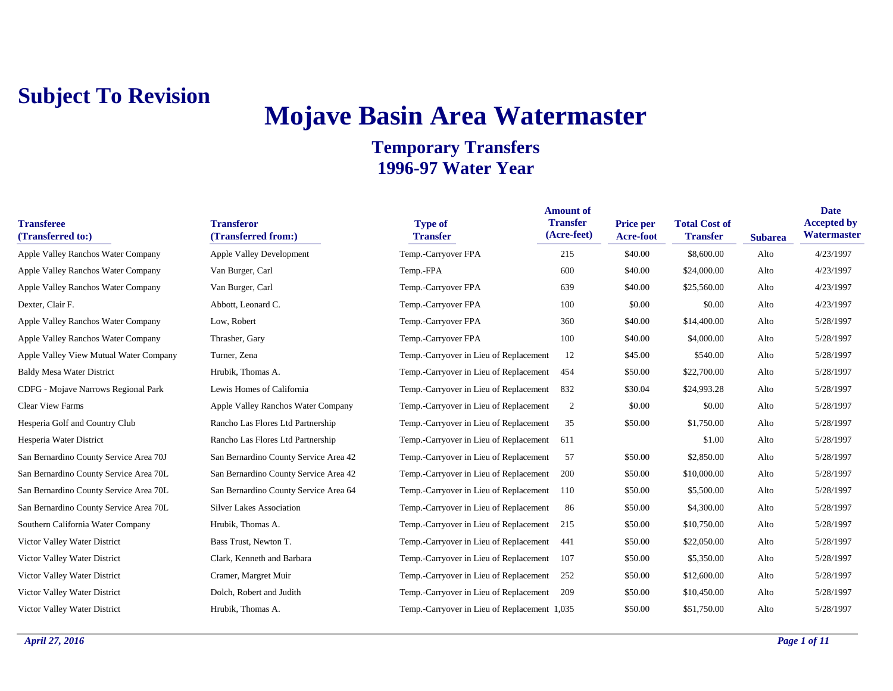# **Mojave Basin Area Watermaster**

| <b>Transferee</b><br>(Transferred to:) | <b>Transferor</b><br>(Transferred from:) | <b>Type of</b><br><b>Transfer</b>            | <b>Amount of</b><br><b>Transfer</b><br>(Acre-feet) | <b>Price per</b><br>Acre-foot | <b>Total Cost of</b><br><b>Transfer</b> | <b>Subarea</b> | <b>Date</b><br><b>Accepted by</b><br>Watermaster |
|----------------------------------------|------------------------------------------|----------------------------------------------|----------------------------------------------------|-------------------------------|-----------------------------------------|----------------|--------------------------------------------------|
| Apple Valley Ranchos Water Company     | <b>Apple Valley Development</b>          | Temp.-Carryover FPA                          | 215                                                | \$40.00                       | \$8,600.00                              | Alto           | 4/23/1997                                        |
| Apple Valley Ranchos Water Company     | Van Burger, Carl                         | Temp.-FPA                                    | 600                                                | \$40.00                       | \$24,000.00                             | Alto           | 4/23/1997                                        |
| Apple Valley Ranchos Water Company     | Van Burger, Carl                         | Temp.-Carryover FPA                          | 639                                                | \$40.00                       | \$25,560.00                             | Alto           | 4/23/1997                                        |
| Dexter, Clair F.                       | Abbott, Leonard C.                       | Temp.-Carryover FPA                          | 100                                                | \$0.00                        | \$0.00                                  | Alto           | 4/23/1997                                        |
| Apple Valley Ranchos Water Company     | Low, Robert                              | Temp.-Carryover FPA                          | 360                                                | \$40.00                       | \$14,400.00                             | Alto           | 5/28/1997                                        |
| Apple Valley Ranchos Water Company     | Thrasher, Gary                           | Temp.-Carryover FPA                          | 100                                                | \$40.00                       | \$4,000.00                              | Alto           | 5/28/1997                                        |
| Apple Valley View Mutual Water Company | Turner, Zena                             | Temp.-Carryover in Lieu of Replacement       | 12                                                 | \$45.00                       | \$540.00                                | Alto           | 5/28/1997                                        |
| <b>Baldy Mesa Water District</b>       | Hrubik, Thomas A.                        | Temp.-Carryover in Lieu of Replacement       | 454                                                | \$50.00                       | \$22,700.00                             | Alto           | 5/28/1997                                        |
| CDFG - Mojave Narrows Regional Park    | Lewis Homes of California                | Temp.-Carryover in Lieu of Replacement       | 832                                                | \$30.04                       | \$24,993.28                             | Alto           | 5/28/1997                                        |
| <b>Clear View Farms</b>                | Apple Valley Ranchos Water Company       | Temp.-Carryover in Lieu of Replacement       | $\overline{2}$                                     | \$0.00                        | \$0.00                                  | Alto           | 5/28/1997                                        |
| Hesperia Golf and Country Club         | Rancho Las Flores Ltd Partnership        | Temp.-Carryover in Lieu of Replacement       | 35                                                 | \$50.00                       | \$1,750.00                              | Alto           | 5/28/1997                                        |
| Hesperia Water District                | Rancho Las Flores Ltd Partnership        | Temp.-Carryover in Lieu of Replacement       | 611                                                |                               | \$1.00                                  | Alto           | 5/28/1997                                        |
| San Bernardino County Service Area 70J | San Bernardino County Service Area 42    | Temp.-Carryover in Lieu of Replacement       | 57                                                 | \$50.00                       | \$2,850.00                              | Alto           | 5/28/1997                                        |
| San Bernardino County Service Area 70L | San Bernardino County Service Area 42    | Temp.-Carryover in Lieu of Replacement       | 200                                                | \$50.00                       | \$10,000.00                             | Alto           | 5/28/1997                                        |
| San Bernardino County Service Area 70L | San Bernardino County Service Area 64    | Temp.-Carryover in Lieu of Replacement       | 110                                                | \$50.00                       | \$5,500.00                              | Alto           | 5/28/1997                                        |
| San Bernardino County Service Area 70L | <b>Silver Lakes Association</b>          | Temp.-Carryover in Lieu of Replacement       | 86                                                 | \$50.00                       | \$4,300.00                              | Alto           | 5/28/1997                                        |
| Southern California Water Company      | Hrubik, Thomas A.                        | Temp.-Carryover in Lieu of Replacement       | 215                                                | \$50.00                       | \$10,750.00                             | Alto           | 5/28/1997                                        |
| Victor Valley Water District           | Bass Trust, Newton T.                    | Temp.-Carryover in Lieu of Replacement       | 441                                                | \$50.00                       | \$22,050.00                             | Alto           | 5/28/1997                                        |
| Victor Valley Water District           | Clark, Kenneth and Barbara               | Temp.-Carryover in Lieu of Replacement       | 107                                                | \$50.00                       | \$5,350.00                              | Alto           | 5/28/1997                                        |
| Victor Valley Water District           | Cramer, Margret Muir                     | Temp.-Carryover in Lieu of Replacement       | 252                                                | \$50.00                       | \$12,600.00                             | Alto           | 5/28/1997                                        |
| Victor Valley Water District           | Dolch, Robert and Judith                 | Temp.-Carryover in Lieu of Replacement       | 209                                                | \$50.00                       | \$10,450.00                             | Alto           | 5/28/1997                                        |
| Victor Valley Water District           | Hrubik, Thomas A.                        | Temp.-Carryover in Lieu of Replacement 1,035 |                                                    | \$50.00                       | \$51,750.00                             | Alto           | 5/28/1997                                        |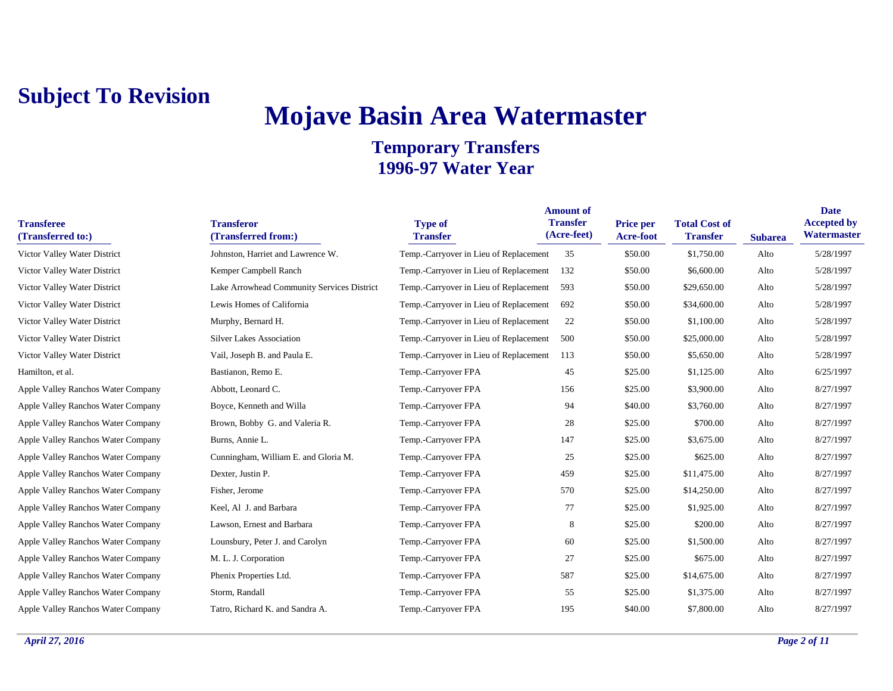# **Mojave Basin Area Watermaster**

| <b>Transferee</b><br>(Transferred to:) | <b>Transferor</b><br>(Transferred from:)   | <b>Type of</b><br><b>Transfer</b>      | <b>Amount of</b><br><b>Transfer</b><br>(Acre-feet) | <b>Price per</b><br>Acre-foot | <b>Total Cost of</b><br><b>Transfer</b> | <b>Subarea</b> | <b>Date</b><br><b>Accepted by</b><br>Watermaster |
|----------------------------------------|--------------------------------------------|----------------------------------------|----------------------------------------------------|-------------------------------|-----------------------------------------|----------------|--------------------------------------------------|
| Victor Valley Water District           | Johnston, Harriet and Lawrence W.          | Temp.-Carryover in Lieu of Replacement | 35                                                 | \$50.00                       | \$1,750.00                              | Alto           | 5/28/1997                                        |
| Victor Valley Water District           | Kemper Campbell Ranch                      | Temp.-Carryover in Lieu of Replacement | 132                                                | \$50.00                       | \$6,600.00                              | Alto           | 5/28/1997                                        |
| Victor Valley Water District           | Lake Arrowhead Community Services District | Temp.-Carryover in Lieu of Replacement | 593                                                | \$50.00                       | \$29,650.00                             | Alto           | 5/28/1997                                        |
| Victor Valley Water District           | Lewis Homes of California                  | Temp.-Carryover in Lieu of Replacement | 692                                                | \$50.00                       | \$34,600.00                             | Alto           | 5/28/1997                                        |
| Victor Valley Water District           | Murphy, Bernard H.                         | Temp.-Carryover in Lieu of Replacement | 22                                                 | \$50.00                       | \$1,100.00                              | Alto           | 5/28/1997                                        |
| Victor Valley Water District           | <b>Silver Lakes Association</b>            | Temp.-Carryover in Lieu of Replacement | 500                                                | \$50.00                       | \$25,000.00                             | Alto           | 5/28/1997                                        |
| Victor Valley Water District           | Vail, Joseph B. and Paula E.               | Temp.-Carryover in Lieu of Replacement | 113                                                | \$50.00                       | \$5,650.00                              | Alto           | 5/28/1997                                        |
| Hamilton, et al.                       | Bastianon, Remo E.                         | Temp.-Carryover FPA                    | 45                                                 | \$25.00                       | \$1,125.00                              | Alto           | 6/25/1997                                        |
| Apple Valley Ranchos Water Company     | Abbott, Leonard C.                         | Temp.-Carryover FPA                    | 156                                                | \$25.00                       | \$3,900.00                              | Alto           | 8/27/1997                                        |
| Apple Valley Ranchos Water Company     | Boyce, Kenneth and Willa                   | Temp.-Carryover FPA                    | 94                                                 | \$40.00                       | \$3,760.00                              | Alto           | 8/27/1997                                        |
| Apple Valley Ranchos Water Company     | Brown, Bobby G. and Valeria R.             | Temp.-Carryover FPA                    | 28                                                 | \$25.00                       | \$700.00                                | Alto           | 8/27/1997                                        |
| Apple Valley Ranchos Water Company     | Burns, Annie L.                            | Temp.-Carryover FPA                    | 147                                                | \$25.00                       | \$3,675.00                              | Alto           | 8/27/1997                                        |
| Apple Valley Ranchos Water Company     | Cunningham, William E. and Gloria M.       | Temp.-Carryover FPA                    | 25                                                 | \$25.00                       | \$625.00                                | Alto           | 8/27/1997                                        |
| Apple Valley Ranchos Water Company     | Dexter, Justin P.                          | Temp.-Carryover FPA                    | 459                                                | \$25.00                       | \$11,475.00                             | Alto           | 8/27/1997                                        |
| Apple Valley Ranchos Water Company     | Fisher, Jerome                             | Temp.-Carryover FPA                    | 570                                                | \$25.00                       | \$14,250.00                             | Alto           | 8/27/1997                                        |
| Apple Valley Ranchos Water Company     | Keel, Al J. and Barbara                    | Temp.-Carryover FPA                    | 77                                                 | \$25.00                       | \$1,925.00                              | Alto           | 8/27/1997                                        |
| Apple Valley Ranchos Water Company     | Lawson, Ernest and Barbara                 | Temp.-Carryover FPA                    | 8                                                  | \$25.00                       | \$200.00                                | Alto           | 8/27/1997                                        |
| Apple Valley Ranchos Water Company     | Lounsbury, Peter J. and Carolyn            | Temp.-Carryover FPA                    | 60                                                 | \$25.00                       | \$1,500.00                              | Alto           | 8/27/1997                                        |
| Apple Valley Ranchos Water Company     | M. L. J. Corporation                       | Temp.-Carryover FPA                    | 27                                                 | \$25.00                       | \$675.00                                | Alto           | 8/27/1997                                        |
| Apple Valley Ranchos Water Company     | Phenix Properties Ltd.                     | Temp.-Carryover FPA                    | 587                                                | \$25.00                       | \$14,675.00                             | Alto           | 8/27/1997                                        |
| Apple Valley Ranchos Water Company     | Storm, Randall                             | Temp.-Carryover FPA                    | 55                                                 | \$25.00                       | \$1,375.00                              | Alto           | 8/27/1997                                        |
| Apple Valley Ranchos Water Company     | Tatro, Richard K. and Sandra A.            | Temp.-Carryover FPA                    | 195                                                | \$40.00                       | \$7,800.00                              | Alto           | 8/27/1997                                        |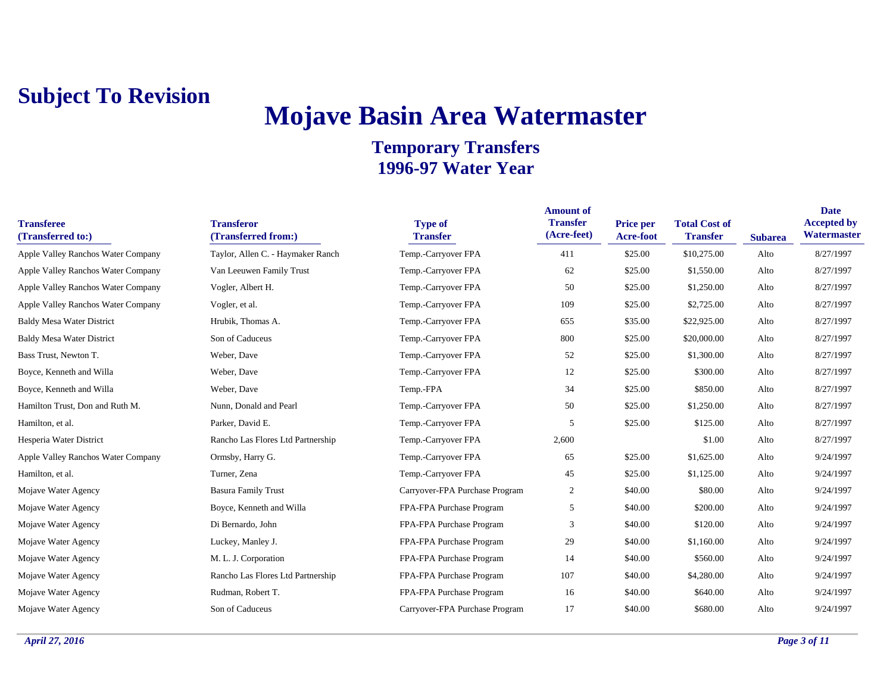## **Mojave Basin Area Watermaster**

| <b>Transferee</b><br>(Transferred to:) | <b>Transferor</b><br>(Transferred from:) | <b>Type of</b><br><b>Transfer</b> | <b>Amount of</b><br><b>Transfer</b><br>(Acre-feet) | <b>Price per</b><br>Acre-foot | <b>Total Cost of</b><br><b>Transfer</b> | <b>Subarea</b> | <b>Date</b><br><b>Accepted by</b><br>Watermaster |
|----------------------------------------|------------------------------------------|-----------------------------------|----------------------------------------------------|-------------------------------|-----------------------------------------|----------------|--------------------------------------------------|
| Apple Valley Ranchos Water Company     | Taylor, Allen C. - Haymaker Ranch        | Temp.-Carryover FPA               | 411                                                | \$25.00                       | \$10,275.00                             | Alto           | 8/27/1997                                        |
| Apple Valley Ranchos Water Company     | Van Leeuwen Family Trust                 | Temp.-Carryover FPA               | 62                                                 | \$25.00                       | \$1,550.00                              | Alto           | 8/27/1997                                        |
| Apple Valley Ranchos Water Company     | Vogler, Albert H.                        | Temp.-Carryover FPA               | 50                                                 | \$25.00                       | \$1,250.00                              | Alto           | 8/27/1997                                        |
| Apple Valley Ranchos Water Company     | Vogler, et al.                           | Temp.-Carryover FPA               | 109                                                | \$25.00                       | \$2,725.00                              | Alto           | 8/27/1997                                        |
| <b>Baldy Mesa Water District</b>       | Hrubik, Thomas A.                        | Temp.-Carryover FPA               | 655                                                | \$35.00                       | \$22,925.00                             | Alto           | 8/27/1997                                        |
| <b>Baldy Mesa Water District</b>       | Son of Caduceus                          | Temp.-Carryover FPA               | 800                                                | \$25.00                       | \$20,000.00                             | Alto           | 8/27/1997                                        |
| Bass Trust, Newton T.                  | Weber, Dave                              | Temp.-Carryover FPA               | 52                                                 | \$25.00                       | \$1,300.00                              | Alto           | 8/27/1997                                        |
| Boyce, Kenneth and Willa               | Weber, Dave                              | Temp.-Carryover FPA               | 12                                                 | \$25.00                       | \$300.00                                | Alto           | 8/27/1997                                        |
| Boyce, Kenneth and Willa               | Weber, Dave                              | Temp.-FPA                         | 34                                                 | \$25.00                       | \$850.00                                | Alto           | 8/27/1997                                        |
| Hamilton Trust, Don and Ruth M.        | Nunn, Donald and Pearl                   | Temp.-Carryover FPA               | 50                                                 | \$25.00                       | \$1,250.00                              | Alto           | 8/27/1997                                        |
| Hamilton, et al.                       | Parker, David E.                         | Temp.-Carryover FPA               | 5                                                  | \$25.00                       | \$125.00                                | Alto           | 8/27/1997                                        |
| Hesperia Water District                | Rancho Las Flores Ltd Partnership        | Temp.-Carryover FPA               | 2,600                                              |                               | \$1.00                                  | Alto           | 8/27/1997                                        |
| Apple Valley Ranchos Water Company     | Ormsby, Harry G.                         | Temp.-Carryover FPA               | 65                                                 | \$25.00                       | \$1,625.00                              | Alto           | 9/24/1997                                        |
| Hamilton, et al.                       | Turner, Zena                             | Temp.-Carryover FPA               | 45                                                 | \$25.00                       | \$1,125.00                              | Alto           | 9/24/1997                                        |
| Mojave Water Agency                    | <b>Basura Family Trust</b>               | Carryover-FPA Purchase Program    | 2                                                  | \$40.00                       | \$80.00                                 | Alto           | 9/24/1997                                        |
| Mojave Water Agency                    | Boyce, Kenneth and Willa                 | FPA-FPA Purchase Program          | 5                                                  | \$40.00                       | \$200.00                                | Alto           | 9/24/1997                                        |
| Mojave Water Agency                    | Di Bernardo, John                        | FPA-FPA Purchase Program          | 3                                                  | \$40.00                       | \$120.00                                | Alto           | 9/24/1997                                        |
| Mojave Water Agency                    | Luckey, Manley J.                        | FPA-FPA Purchase Program          | 29                                                 | \$40.00                       | \$1,160.00                              | Alto           | 9/24/1997                                        |
| Mojave Water Agency                    | M. L. J. Corporation                     | FPA-FPA Purchase Program          | 14                                                 | \$40.00                       | \$560.00                                | Alto           | 9/24/1997                                        |
| Mojave Water Agency                    | Rancho Las Flores Ltd Partnership        | FPA-FPA Purchase Program          | 107                                                | \$40.00                       | \$4,280.00                              | Alto           | 9/24/1997                                        |
| Mojave Water Agency                    | Rudman, Robert T.                        | FPA-FPA Purchase Program          | 16                                                 | \$40.00                       | \$640.00                                | Alto           | 9/24/1997                                        |
| Mojave Water Agency                    | Son of Caduceus                          | Carryover-FPA Purchase Program    | 17                                                 | \$40.00                       | \$680.00                                | Alto           | 9/24/1997                                        |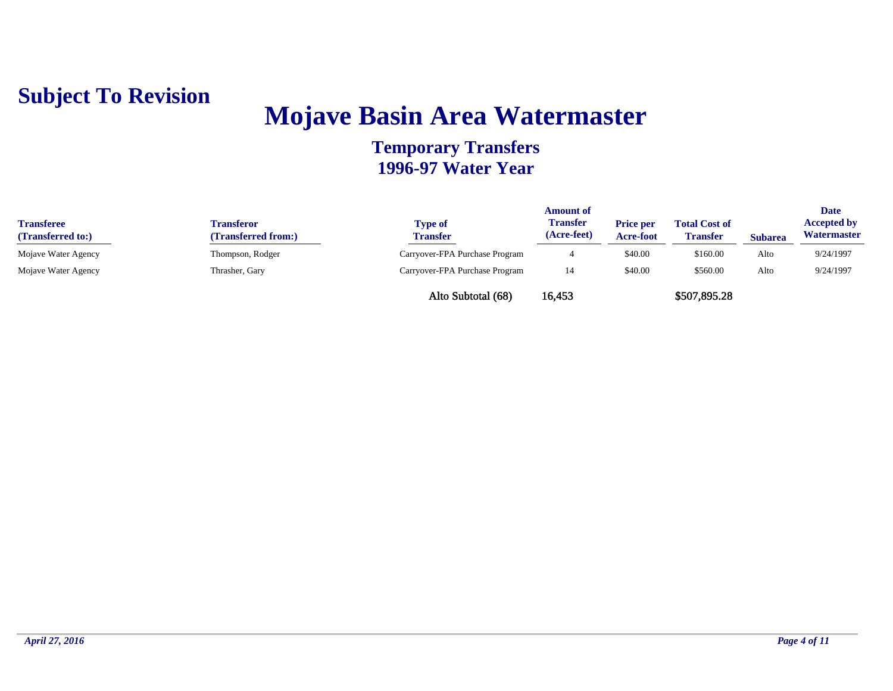

### **Mojave Basin Area Watermaster**

| <b>Transferee</b><br>(Transferred to:) | Fransferor<br>(Transferred from:) | <b>Type of</b><br><b>Transfer</b> | <b>Amount of</b><br>Transfer<br>(Acre-feet) | <b>Price per</b><br><b>Acre-foot</b> | <b>Total Cost of</b><br><b>Transfer</b> | <b>Subarea</b> | <b>Date</b><br><b>Accepted by</b><br>Watermaster |
|----------------------------------------|-----------------------------------|-----------------------------------|---------------------------------------------|--------------------------------------|-----------------------------------------|----------------|--------------------------------------------------|
| Mojave Water Agency                    | Thompson, Rodger                  | Carryover-FPA Purchase Program    |                                             | \$40.00                              | \$160.00                                | Alto           | 9/24/1997                                        |
| Mojave Water Agency                    | Thrasher, Gary                    | Carryover-FPA Purchase Program    | -14                                         | \$40.00                              | \$560.00                                | Alto           | 9/24/1997                                        |
|                                        |                                   | Alto Subtotal (68)                | 16.453                                      |                                      | \$507,895.28                            |                |                                                  |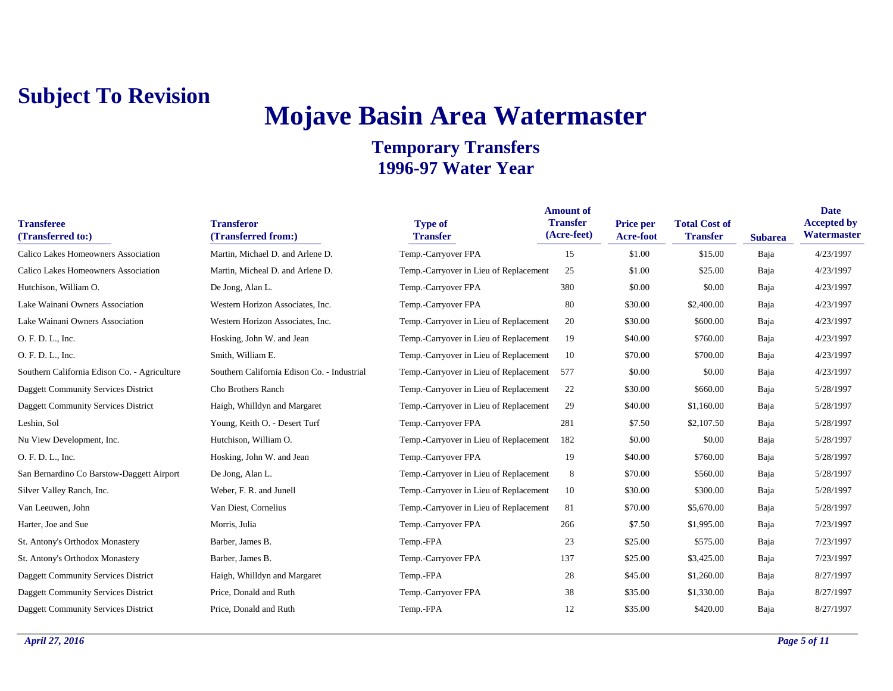### **Mojave Basin Area Watermaster**

| <b>Transferee</b><br>(Transferred to:)       | <b>Transferor</b><br>(Transferred from:)    | <b>Type of</b><br><b>Transfer</b>      | <b>Amount of</b><br><b>Transfer</b><br>(Acre-feet) | <b>Price per</b><br>Acre-foot | <b>Total Cost of</b><br><b>Transfer</b> | <b>Subarea</b> | <b>Date</b><br><b>Accepted by</b><br>Watermaster |
|----------------------------------------------|---------------------------------------------|----------------------------------------|----------------------------------------------------|-------------------------------|-----------------------------------------|----------------|--------------------------------------------------|
| Calico Lakes Homeowners Association          | Martin, Michael D. and Arlene D.            | Temp.-Carryover FPA                    | 15                                                 | \$1.00                        | \$15.00                                 | Baja           | 4/23/1997                                        |
| Calico Lakes Homeowners Association          | Martin, Micheal D. and Arlene D.            | Temp.-Carryover in Lieu of Replacement | 25                                                 | \$1.00                        | \$25.00                                 | Baja           | 4/23/1997                                        |
| Hutchison, William O.                        | De Jong, Alan L.                            | Temp.-Carryover FPA                    | 380                                                | \$0.00                        | \$0.00                                  | Baja           | 4/23/1997                                        |
| Lake Wainani Owners Association              | Western Horizon Associates, Inc.            | Temp.-Carryover FPA                    | 80                                                 | \$30.00                       | \$2,400.00                              | Baja           | 4/23/1997                                        |
| Lake Wainani Owners Association              | Western Horizon Associates, Inc.            | Temp.-Carryover in Lieu of Replacement | 20                                                 | \$30.00                       | \$600.00                                | Baja           | 4/23/1997                                        |
| O. F. D. L., Inc.                            | Hosking, John W. and Jean                   | Temp.-Carryover in Lieu of Replacement | 19                                                 | \$40.00                       | \$760.00                                | Baja           | 4/23/1997                                        |
| O. F. D. L., Inc.                            | Smith, William E.                           | Temp.-Carryover in Lieu of Replacement | 10                                                 | \$70.00                       | \$700.00                                | Baja           | 4/23/1997                                        |
| Southern California Edison Co. - Agriculture | Southern California Edison Co. - Industrial | Temp.-Carryover in Lieu of Replacement | 577                                                | \$0.00                        | \$0.00                                  | Baja           | 4/23/1997                                        |
| <b>Daggett Community Services District</b>   | Cho Brothers Ranch                          | Temp.-Carryover in Lieu of Replacement | 22                                                 | \$30.00                       | \$660.00                                | Baja           | 5/28/1997                                        |
| <b>Daggett Community Services District</b>   | Haigh, Whilldyn and Margaret                | Temp.-Carryover in Lieu of Replacement | 29                                                 | \$40.00                       | \$1,160.00                              | Baja           | 5/28/1997                                        |
| Leshin, Sol                                  | Young, Keith O. - Desert Turf               | Temp.-Carryover FPA                    | 281                                                | \$7.50                        | \$2,107.50                              | Baja           | 5/28/1997                                        |
| Nu View Development, Inc.                    | Hutchison, William O.                       | Temp.-Carryover in Lieu of Replacement | 182                                                | \$0.00                        | \$0.00                                  | Baja           | 5/28/1997                                        |
| O. F. D. L., Inc.                            | Hosking, John W. and Jean                   | Temp.-Carryover FPA                    | 19                                                 | \$40.00                       | \$760.00                                | Baja           | 5/28/1997                                        |
| San Bernardino Co Barstow-Daggett Airport    | De Jong, Alan L.                            | Temp.-Carryover in Lieu of Replacement | 8                                                  | \$70.00                       | \$560.00                                | Baja           | 5/28/1997                                        |
| Silver Valley Ranch, Inc.                    | Weber, F. R. and Junell                     | Temp.-Carryover in Lieu of Replacement | 10                                                 | \$30.00                       | \$300.00                                | Baja           | 5/28/1997                                        |
| Van Leeuwen, John                            | Van Diest, Cornelius                        | Temp.-Carryover in Lieu of Replacement | 81                                                 | \$70.00                       | \$5,670.00                              | Baja           | 5/28/1997                                        |
| Harter, Joe and Sue                          | Morris, Julia                               | Temp.-Carryover FPA                    | 266                                                | \$7.50                        | \$1,995.00                              | Baja           | 7/23/1997                                        |
| St. Antony's Orthodox Monastery              | Barber, James B.                            | Temp.-FPA                              | 23                                                 | \$25.00                       | \$575.00                                | Baja           | 7/23/1997                                        |
| St. Antony's Orthodox Monastery              | Barber, James B.                            | Temp.-Carryover FPA                    | 137                                                | \$25.00                       | \$3,425.00                              | Baja           | 7/23/1997                                        |
| <b>Daggett Community Services District</b>   | Haigh, Whilldyn and Margaret                | Temp.-FPA                              | 28                                                 | \$45.00                       | \$1,260.00                              | Baja           | 8/27/1997                                        |
| <b>Daggett Community Services District</b>   | Price, Donald and Ruth                      | Temp.-Carryover FPA                    | 38                                                 | \$35.00                       | \$1,330.00                              | Baja           | 8/27/1997                                        |
| Daggett Community Services District          | Price, Donald and Ruth                      | Temp.-FPA                              | 12                                                 | \$35.00                       | \$420.00                                | Baja           | 8/27/1997                                        |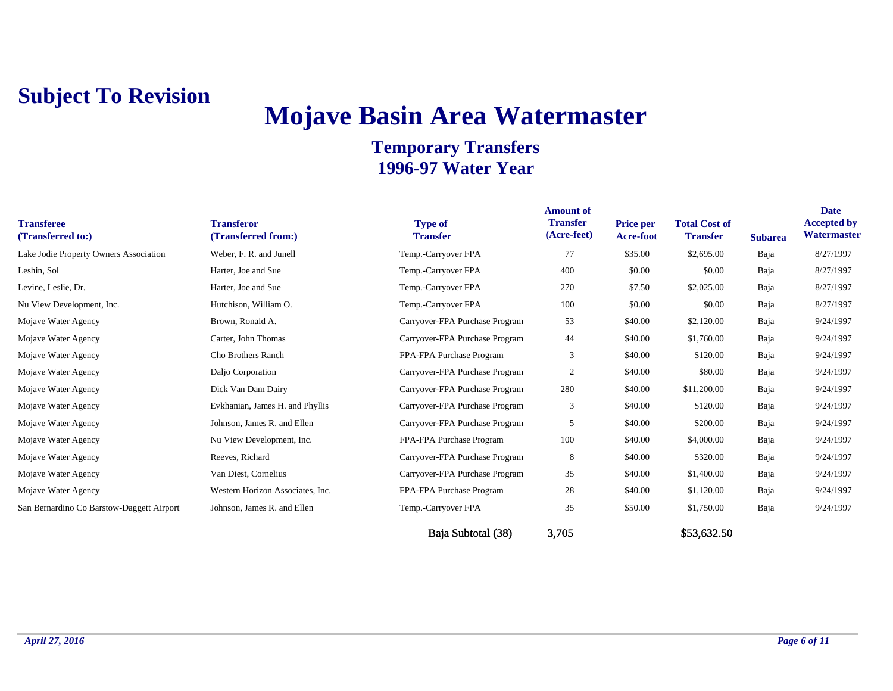# **Mojave Basin Area Watermaster**

#### **Temporary Transfers 1996-97 Water Year**

| <b>Transferee</b><br>(Transferred to:)    | <b>Transferor</b><br>(Transferred from:) | <b>Type of</b><br><b>Transfer</b> | <b>Amount of</b><br><b>Transfer</b><br>(Acre-feet) | <b>Price per</b><br>Acre-foot | <b>Total Cost of</b><br><b>Transfer</b> | <b>Subarea</b> | <b>Date</b><br><b>Accepted by</b><br>Watermaster |
|-------------------------------------------|------------------------------------------|-----------------------------------|----------------------------------------------------|-------------------------------|-----------------------------------------|----------------|--------------------------------------------------|
| Lake Jodie Property Owners Association    | Weber, F. R. and Junell                  | Temp.-Carryover FPA               | 77                                                 | \$35.00                       | \$2,695.00                              | Baja           | 8/27/1997                                        |
| Leshin, Sol                               | Harter, Joe and Sue                      | Temp.-Carryover FPA               | 400                                                | \$0.00                        | \$0.00                                  | Baja           | 8/27/1997                                        |
| Levine, Leslie, Dr.                       | Harter, Joe and Sue                      | Temp.-Carryover FPA               | 270                                                | \$7.50                        | \$2,025.00                              | Baja           | 8/27/1997                                        |
| Nu View Development, Inc.                 | Hutchison, William O.                    | Temp.-Carryover FPA               | 100                                                | \$0.00                        | \$0.00                                  | Baja           | 8/27/1997                                        |
| Mojave Water Agency                       | Brown, Ronald A.                         | Carryover-FPA Purchase Program    | 53                                                 | \$40.00                       | \$2,120.00                              | Baja           | 9/24/1997                                        |
| Mojave Water Agency                       | Carter, John Thomas                      | Carryover-FPA Purchase Program    | 44                                                 | \$40.00                       | \$1,760.00                              | Baja           | 9/24/1997                                        |
| Mojave Water Agency                       | Cho Brothers Ranch                       | FPA-FPA Purchase Program          | 3                                                  | \$40.00                       | \$120.00                                | Baja           | 9/24/1997                                        |
| Mojave Water Agency                       | Daljo Corporation                        | Carryover-FPA Purchase Program    | $\overline{2}$                                     | \$40.00                       | \$80.00                                 | Baja           | 9/24/1997                                        |
| Mojave Water Agency                       | Dick Van Dam Dairy                       | Carryover-FPA Purchase Program    | 280                                                | \$40.00                       | \$11,200.00                             | Baja           | 9/24/1997                                        |
| Mojave Water Agency                       | Evkhanian, James H. and Phyllis          | Carryover-FPA Purchase Program    | 3                                                  | \$40.00                       | \$120.00                                | Baja           | 9/24/1997                                        |
| Mojave Water Agency                       | Johnson, James R. and Ellen              | Carryover-FPA Purchase Program    | 5                                                  | \$40.00                       | \$200.00                                | Baja           | 9/24/1997                                        |
| Mojave Water Agency                       | Nu View Development, Inc.                | FPA-FPA Purchase Program          | 100                                                | \$40.00                       | \$4,000.00                              | Baja           | 9/24/1997                                        |
| Mojave Water Agency                       | Reeves, Richard                          | Carryover-FPA Purchase Program    | 8                                                  | \$40.00                       | \$320.00                                | Baja           | 9/24/1997                                        |
| Mojave Water Agency                       | Van Diest, Cornelius                     | Carryover-FPA Purchase Program    | 35                                                 | \$40.00                       | \$1,400.00                              | Baja           | 9/24/1997                                        |
| Mojave Water Agency                       | Western Horizon Associates, Inc.         | FPA-FPA Purchase Program          | 28                                                 | \$40.00                       | \$1,120.00                              | Baja           | 9/24/1997                                        |
| San Bernardino Co Barstow-Daggett Airport | Johnson, James R. and Ellen              | Temp.-Carryover FPA               | 35                                                 | \$50.00                       | \$1,750.00                              | Baja           | 9/24/1997                                        |

Baja Subtotal (38) 3,705 \$53,632.50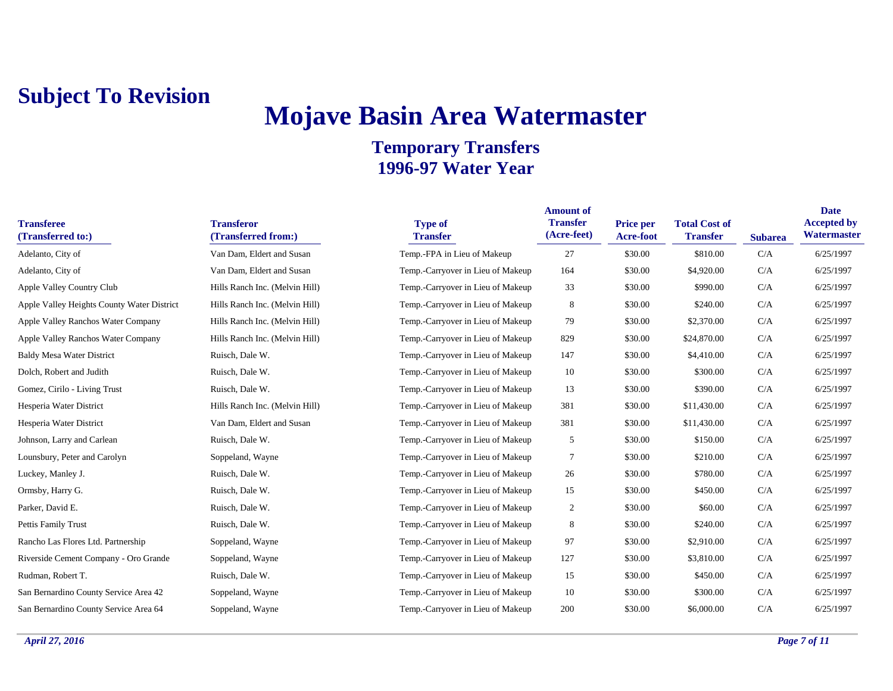## **Mojave Basin Area Watermaster**

| <b>Transferee</b><br>(Transferred to:)     | <b>Transferor</b><br>(Transferred from:) | <b>Type of</b><br><b>Transfer</b> | <b>Amount of</b><br><b>Transfer</b><br>(Acre-feet) | <b>Price per</b><br>Acre-foot | <b>Total Cost of</b><br><b>Transfer</b> | <b>Subarea</b> | <b>Date</b><br><b>Accepted by</b><br>Watermaster |
|--------------------------------------------|------------------------------------------|-----------------------------------|----------------------------------------------------|-------------------------------|-----------------------------------------|----------------|--------------------------------------------------|
| Adelanto, City of                          | Van Dam, Eldert and Susan                | Temp.-FPA in Lieu of Makeup       | 27                                                 | \$30.00                       | \$810.00                                | C/A            | 6/25/1997                                        |
| Adelanto, City of                          | Van Dam, Eldert and Susan                | Temp.-Carryover in Lieu of Makeup | 164                                                | \$30.00                       | \$4,920.00                              | C/A            | 6/25/1997                                        |
| Apple Valley Country Club                  | Hills Ranch Inc. (Melvin Hill)           | Temp.-Carryover in Lieu of Makeup | 33                                                 | \$30.00                       | \$990.00                                | C/A            | 6/25/1997                                        |
| Apple Valley Heights County Water District | Hills Ranch Inc. (Melvin Hill)           | Temp.-Carryover in Lieu of Makeup | 8                                                  | \$30.00                       | \$240.00                                | C/A            | 6/25/1997                                        |
| Apple Valley Ranchos Water Company         | Hills Ranch Inc. (Melvin Hill)           | Temp.-Carryover in Lieu of Makeup | 79                                                 | \$30.00                       | \$2,370.00                              | C/A            | 6/25/1997                                        |
| Apple Valley Ranchos Water Company         | Hills Ranch Inc. (Melvin Hill)           | Temp.-Carryover in Lieu of Makeup | 829                                                | \$30.00                       | \$24,870.00                             | C/A            | 6/25/1997                                        |
| <b>Baldy Mesa Water District</b>           | Ruisch, Dale W.                          | Temp.-Carryover in Lieu of Makeup | 147                                                | \$30.00                       | \$4,410.00                              | C/A            | 6/25/1997                                        |
| Dolch, Robert and Judith                   | Ruisch, Dale W.                          | Temp.-Carryover in Lieu of Makeup | 10                                                 | \$30.00                       | \$300.00                                | C/A            | 6/25/1997                                        |
| Gomez, Cirilo - Living Trust               | Ruisch, Dale W.                          | Temp.-Carryover in Lieu of Makeup | 13                                                 | \$30.00                       | \$390.00                                | C/A            | 6/25/1997                                        |
| Hesperia Water District                    | Hills Ranch Inc. (Melvin Hill)           | Temp.-Carryover in Lieu of Makeup | 381                                                | \$30.00                       | \$11,430.00                             | C/A            | 6/25/1997                                        |
| Hesperia Water District                    | Van Dam, Eldert and Susan                | Temp.-Carryover in Lieu of Makeup | 381                                                | \$30.00                       | \$11,430.00                             | C/A            | 6/25/1997                                        |
| Johnson, Larry and Carlean                 | Ruisch, Dale W.                          | Temp.-Carryover in Lieu of Makeup | 5                                                  | \$30.00                       | \$150.00                                | C/A            | 6/25/1997                                        |
| Lounsbury, Peter and Carolyn               | Soppeland, Wayne                         | Temp.-Carryover in Lieu of Makeup | 7                                                  | \$30.00                       | \$210.00                                | C/A            | 6/25/1997                                        |
| Luckey, Manley J.                          | Ruisch, Dale W.                          | Temp.-Carryover in Lieu of Makeup | 26                                                 | \$30.00                       | \$780.00                                | C/A            | 6/25/1997                                        |
| Ormsby, Harry G.                           | Ruisch, Dale W.                          | Temp.-Carryover in Lieu of Makeup | 15                                                 | \$30.00                       | \$450.00                                | C/A            | 6/25/1997                                        |
| Parker, David E.                           | Ruisch, Dale W.                          | Temp.-Carryover in Lieu of Makeup | 2                                                  | \$30.00                       | \$60.00                                 | C/A            | 6/25/1997                                        |
| Pettis Family Trust                        | Ruisch, Dale W.                          | Temp.-Carryover in Lieu of Makeup | 8                                                  | \$30.00                       | \$240.00                                | C/A            | 6/25/1997                                        |
| Rancho Las Flores Ltd. Partnership         | Soppeland, Wayne                         | Temp.-Carryover in Lieu of Makeup | 97                                                 | \$30.00                       | \$2,910.00                              | C/A            | 6/25/1997                                        |
| Riverside Cement Company - Oro Grande      | Soppeland, Wayne                         | Temp.-Carryover in Lieu of Makeup | 127                                                | \$30.00                       | \$3,810.00                              | C/A            | 6/25/1997                                        |
| Rudman, Robert T.                          | Ruisch, Dale W.                          | Temp.-Carryover in Lieu of Makeup | 15                                                 | \$30.00                       | \$450.00                                | C/A            | 6/25/1997                                        |
| San Bernardino County Service Area 42      | Soppeland, Wayne                         | Temp.-Carryover in Lieu of Makeup | 10                                                 | \$30.00                       | \$300.00                                | C/A            | 6/25/1997                                        |
| San Bernardino County Service Area 64      | Soppeland, Wayne                         | Temp.-Carryover in Lieu of Makeup | 200                                                | \$30.00                       | \$6,000.00                              | C/A            | 6/25/1997                                        |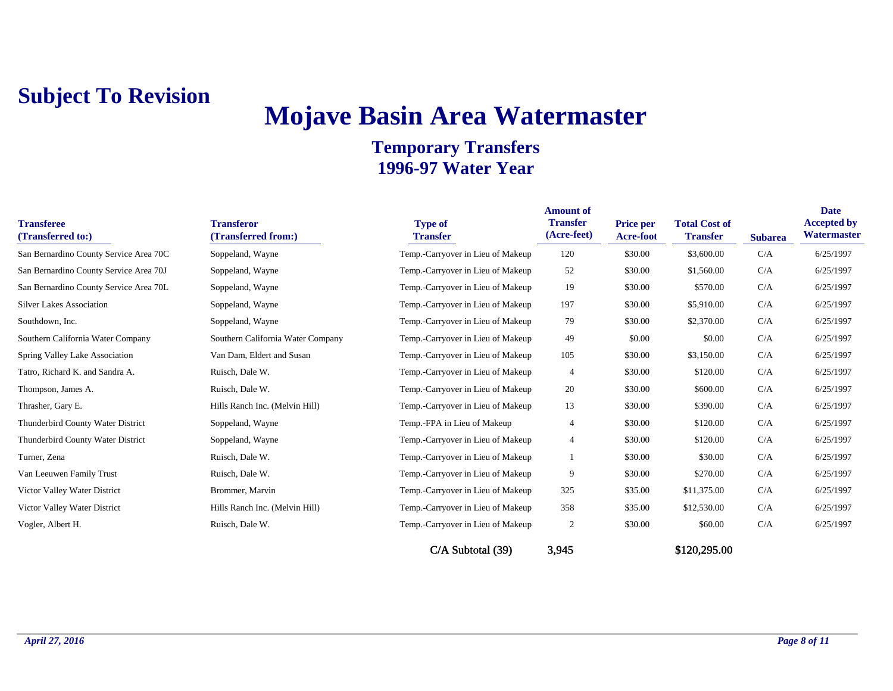## **Mojave Basin Area Watermaster**

| <b>Transferee</b><br>(Transferred to:) | <b>Transferor</b><br>(Transferred from:) | <b>Type of</b><br><b>Transfer</b> | <b>Amount of</b><br><b>Transfer</b><br>(Acre-feet) | Price per<br><b>Acre-foot</b> | <b>Total Cost of</b><br><b>Transfer</b> | <b>Subarea</b> | <b>Date</b><br><b>Accepted by</b><br>Watermaster |
|----------------------------------------|------------------------------------------|-----------------------------------|----------------------------------------------------|-------------------------------|-----------------------------------------|----------------|--------------------------------------------------|
| San Bernardino County Service Area 70C | Soppeland, Wayne                         | Temp.-Carryover in Lieu of Makeup | 120                                                | \$30.00                       | \$3,600.00                              | C/A            | 6/25/1997                                        |
| San Bernardino County Service Area 70J | Soppeland, Wayne                         | Temp.-Carryover in Lieu of Makeup | 52                                                 | \$30.00                       | \$1,560.00                              | C/A            | 6/25/1997                                        |
| San Bernardino County Service Area 70L | Soppeland, Wayne                         | Temp.-Carryover in Lieu of Makeup | 19                                                 | \$30.00                       | \$570.00                                | C/A            | 6/25/1997                                        |
| <b>Silver Lakes Association</b>        | Soppeland, Wayne                         | Temp.-Carryover in Lieu of Makeup | 197                                                | \$30.00                       | \$5,910.00                              | C/A            | 6/25/1997                                        |
| Southdown, Inc.                        | Soppeland, Wayne                         | Temp.-Carryover in Lieu of Makeup | 79                                                 | \$30.00                       | \$2,370.00                              | C/A            | 6/25/1997                                        |
| Southern California Water Company      | Southern California Water Company        | Temp.-Carryover in Lieu of Makeup | 49                                                 | \$0.00                        | \$0.00                                  | C/A            | 6/25/1997                                        |
| Spring Valley Lake Association         | Van Dam, Eldert and Susan                | Temp.-Carryover in Lieu of Makeup | 105                                                | \$30.00                       | \$3,150.00                              | C/A            | 6/25/1997                                        |
| Tatro, Richard K. and Sandra A.        | Ruisch, Dale W.                          | Temp.-Carryover in Lieu of Makeup | $\overline{4}$                                     | \$30.00                       | \$120.00                                | C/A            | 6/25/1997                                        |
| Thompson, James A.                     | Ruisch, Dale W.                          | Temp.-Carryover in Lieu of Makeup | 20                                                 | \$30.00                       | \$600.00                                | C/A            | 6/25/1997                                        |
| Thrasher, Gary E.                      | Hills Ranch Inc. (Melvin Hill)           | Temp.-Carryover in Lieu of Makeup | 13                                                 | \$30.00                       | \$390.00                                | C/A            | 6/25/1997                                        |
| Thunderbird County Water District      | Soppeland, Wayne                         | Temp.-FPA in Lieu of Makeup       | $\overline{4}$                                     | \$30.00                       | \$120.00                                | C/A            | 6/25/1997                                        |
| Thunderbird County Water District      | Soppeland, Wayne                         | Temp.-Carryover in Lieu of Makeup | $\overline{4}$                                     | \$30.00                       | \$120.00                                | C/A            | 6/25/1997                                        |
| Turner, Zena                           | Ruisch, Dale W.                          | Temp.-Carryover in Lieu of Makeup |                                                    | \$30.00                       | \$30.00                                 | C/A            | 6/25/1997                                        |
| Van Leeuwen Family Trust               | Ruisch, Dale W.                          | Temp.-Carryover in Lieu of Makeup | 9                                                  | \$30.00                       | \$270.00                                | C/A            | 6/25/1997                                        |
| Victor Valley Water District           | Brommer, Marvin                          | Temp.-Carryover in Lieu of Makeup | 325                                                | \$35.00                       | \$11,375.00                             | C/A            | 6/25/1997                                        |
| Victor Valley Water District           | Hills Ranch Inc. (Melvin Hill)           | Temp.-Carryover in Lieu of Makeup | 358                                                | \$35.00                       | \$12,530.00                             | C/A            | 6/25/1997                                        |
| Vogler, Albert H.                      | Ruisch, Dale W.                          | Temp.-Carryover in Lieu of Makeup | $\overline{2}$                                     | \$30.00                       | \$60.00                                 | C/A            | 6/25/1997                                        |
|                                        |                                          | $C/A$ Subtotal $(39)$             | 3,945                                              |                               | \$120,295.00                            |                |                                                  |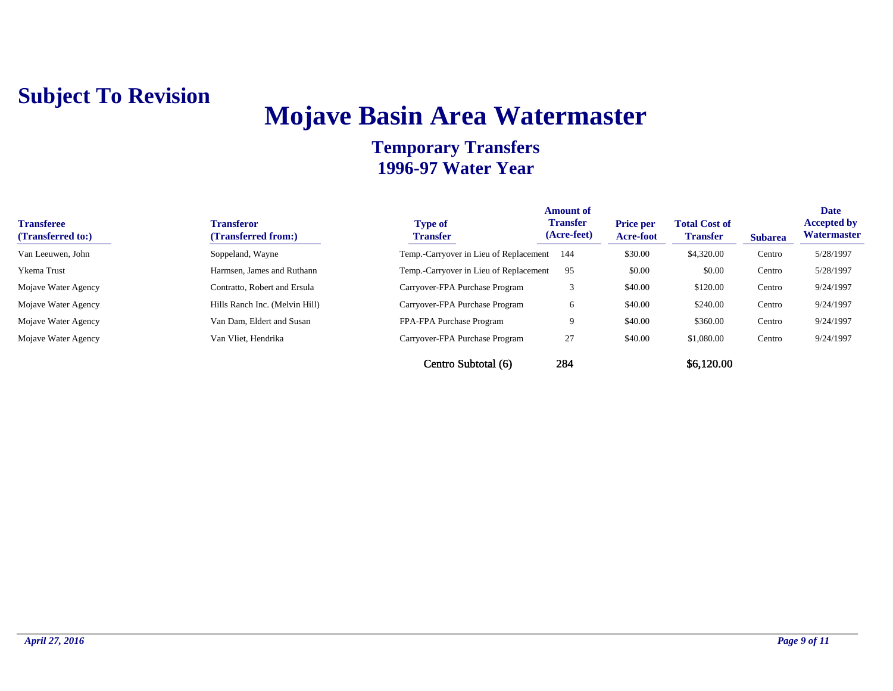## **Mojave Basin Area Watermaster**

| <b>Transferee</b><br>(Transferred to:) | <b>Transferor</b><br>(Transferred from:) | <b>Type of</b><br><b>Transfer</b>      | <b>Amount of</b><br><b>Transfer</b><br>(Acre-feet) | <b>Price per</b><br><b>Acre-foot</b> | <b>Total Cost of</b><br><b>Transfer</b> | <b>Subarea</b> | <b>Date</b><br><b>Accepted by</b><br>Watermaster |
|----------------------------------------|------------------------------------------|----------------------------------------|----------------------------------------------------|--------------------------------------|-----------------------------------------|----------------|--------------------------------------------------|
| Van Leeuwen, John                      | Soppeland, Wayne                         | Temp.-Carryover in Lieu of Replacement | - 144                                              | \$30.00                              | \$4,320.00                              | Centro         | 5/28/1997                                        |
| <b>Ykema</b> Trust                     | Harmsen, James and Ruthann               | Temp.-Carryover in Lieu of Replacement | 95                                                 | \$0.00                               | \$0.00                                  | Centro         | 5/28/1997                                        |
| Mojave Water Agency                    | Contratto, Robert and Ersula             | Carryover-FPA Purchase Program         |                                                    | \$40.00                              | \$120.00                                | Centro         | 9/24/1997                                        |
| Mojave Water Agency                    | Hills Ranch Inc. (Melvin Hill)           | Carryover-FPA Purchase Program         | 6                                                  | \$40.00                              | \$240.00                                | Centro         | 9/24/1997                                        |
| Mojave Water Agency                    | Van Dam, Eldert and Susan                | FPA-FPA Purchase Program               |                                                    | \$40.00                              | \$360.00                                | Centro         | 9/24/1997                                        |
| Mojave Water Agency                    | Van Vliet, Hendrika                      | Carryover-FPA Purchase Program         | 27                                                 | \$40.00                              | \$1,080.00                              | Centro         | 9/24/1997                                        |
|                                        |                                          | Centro Subtotal (6)                    | 284                                                |                                      | \$6,120.00                              |                |                                                  |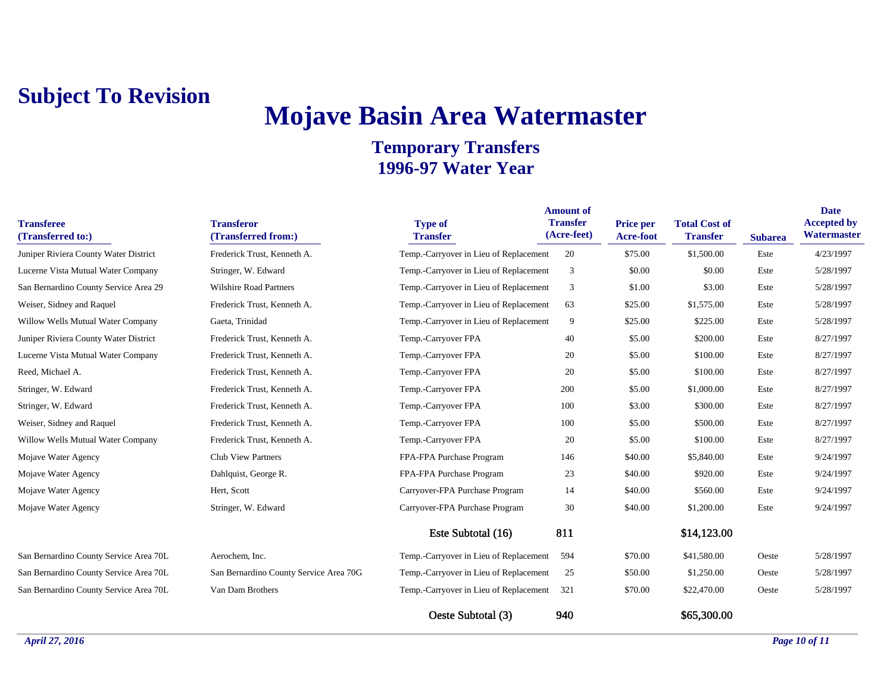## **Mojave Basin Area Watermaster**

| <b>Transferee</b><br>(Transferred to:) | <b>Transferor</b><br>(Transferred from:) | <b>Type of</b><br><b>Transfer</b>      | <b>Amount of</b><br><b>Transfer</b><br>(Acre-feet) | Price per<br>Acre-foot | <b>Total Cost of</b><br><b>Transfer</b> | <b>Subarea</b> | <b>Date</b><br><b>Accepted by</b><br>Watermaster |
|----------------------------------------|------------------------------------------|----------------------------------------|----------------------------------------------------|------------------------|-----------------------------------------|----------------|--------------------------------------------------|
| Juniper Riviera County Water District  | Frederick Trust, Kenneth A.              | Temp.-Carryover in Lieu of Replacement | 20                                                 | \$75.00                | \$1,500.00                              | Este           | 4/23/1997                                        |
| Lucerne Vista Mutual Water Company     | Stringer, W. Edward                      | Temp.-Carryover in Lieu of Replacement | 3                                                  | \$0.00                 | \$0.00                                  | Este           | 5/28/1997                                        |
| San Bernardino County Service Area 29  | <b>Wilshire Road Partners</b>            | Temp.-Carryover in Lieu of Replacement | 3                                                  | \$1.00                 | \$3.00                                  | Este           | 5/28/1997                                        |
| Weiser, Sidney and Raquel              | Frederick Trust, Kenneth A.              | Temp.-Carryover in Lieu of Replacement | 63                                                 | \$25.00                | \$1,575.00                              | Este           | 5/28/1997                                        |
| Willow Wells Mutual Water Company      | Gaeta, Trinidad                          | Temp.-Carryover in Lieu of Replacement | 9                                                  | \$25.00                | \$225.00                                | Este           | 5/28/1997                                        |
| Juniper Riviera County Water District  | Frederick Trust, Kenneth A.              | Temp.-Carryover FPA                    | 40                                                 | \$5.00                 | \$200.00                                | Este           | 8/27/1997                                        |
| Lucerne Vista Mutual Water Company     | Frederick Trust, Kenneth A.              | Temp.-Carryover FPA                    | 20                                                 | \$5.00                 | \$100.00                                | Este           | 8/27/1997                                        |
| Reed, Michael A.                       | Frederick Trust, Kenneth A.              | Temp.-Carryover FPA                    | 20                                                 | \$5.00                 | \$100.00                                | Este           | 8/27/1997                                        |
| Stringer, W. Edward                    | Frederick Trust, Kenneth A.              | Temp.-Carryover FPA                    | 200                                                | \$5.00                 | \$1,000.00                              | Este           | 8/27/1997                                        |
| Stringer, W. Edward                    | Frederick Trust, Kenneth A.              | Temp.-Carryover FPA                    | 100                                                | \$3.00                 | \$300.00                                | Este           | 8/27/1997                                        |
| Weiser, Sidney and Raquel              | Frederick Trust, Kenneth A.              | Temp.-Carryover FPA                    | 100                                                | \$5.00                 | \$500.00                                | Este           | 8/27/1997                                        |
| Willow Wells Mutual Water Company      | Frederick Trust, Kenneth A.              | Temp.-Carryover FPA                    | 20                                                 | \$5.00                 | \$100.00                                | Este           | 8/27/1997                                        |
| Mojave Water Agency                    | <b>Club View Partners</b>                | FPA-FPA Purchase Program               | 146                                                | \$40.00                | \$5,840.00                              | Este           | 9/24/1997                                        |
| Mojave Water Agency                    | Dahlquist, George R.                     | FPA-FPA Purchase Program               | 23                                                 | \$40.00                | \$920.00                                | Este           | 9/24/1997                                        |
| Mojave Water Agency                    | Hert, Scott                              | Carryover-FPA Purchase Program         | 14                                                 | \$40.00                | \$560.00                                | Este           | 9/24/1997                                        |
| Mojave Water Agency                    | Stringer, W. Edward                      | Carryover-FPA Purchase Program         | 30                                                 | \$40.00                | \$1,200.00                              | Este           | 9/24/1997                                        |
|                                        |                                          | Este Subtotal (16)                     | 811                                                |                        | \$14,123.00                             |                |                                                  |
| San Bernardino County Service Area 70L | Aerochem, Inc.                           | Temp.-Carryover in Lieu of Replacement | 594                                                | \$70.00                | \$41,580.00                             | Oeste          | 5/28/1997                                        |
| San Bernardino County Service Area 70L | San Bernardino County Service Area 70G   | Temp.-Carryover in Lieu of Replacement | 25                                                 | \$50.00                | \$1,250.00                              | Oeste          | 5/28/1997                                        |
| San Bernardino County Service Area 70L | Van Dam Brothers                         | Temp.-Carryover in Lieu of Replacement | 321                                                | \$70.00                | \$22,470.00                             | Oeste          | 5/28/1997                                        |
|                                        |                                          | Oeste Subtotal (3)                     | 940                                                |                        | \$65,300.00                             |                |                                                  |